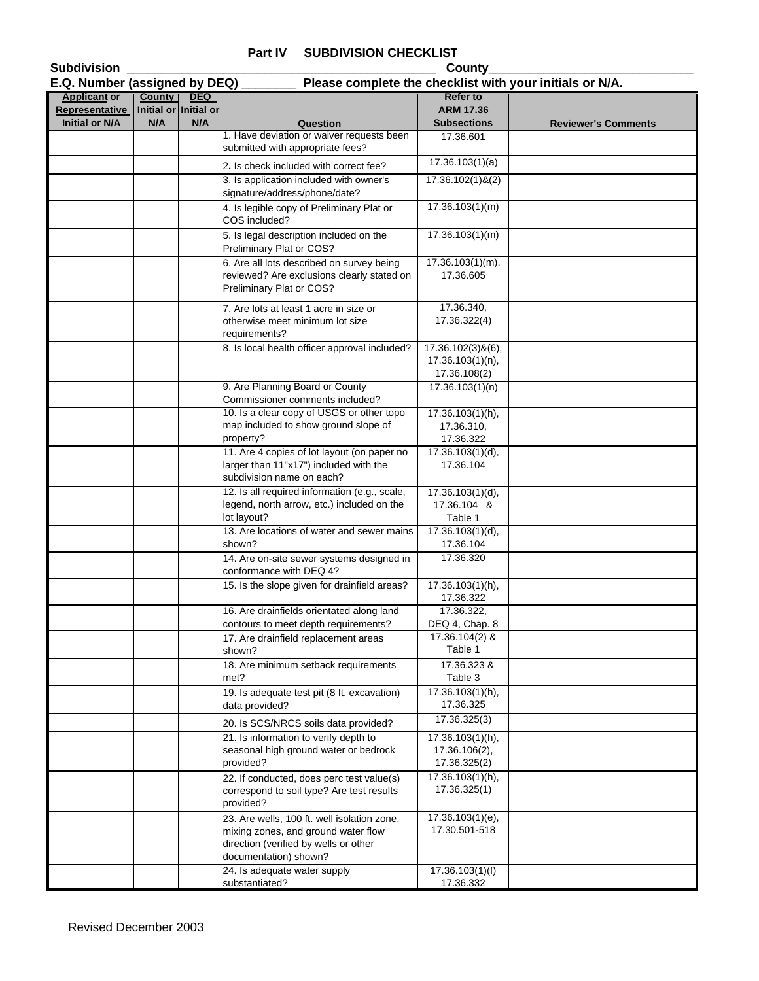## **Part IV SUBDIVISION CHECKLIST**

| <b>Subdivision</b>                      |                              |            |                                                                                                       | County                                 |                            |
|-----------------------------------------|------------------------------|------------|-------------------------------------------------------------------------------------------------------|----------------------------------------|----------------------------|
| E.Q. Number (assigned by DEQ)           |                              |            | Please complete the checklist with your initials or N/A.                                              |                                        |                            |
| <b>Applicant or</b>                     | <b>County</b>                | <b>DEQ</b> |                                                                                                       | <b>Refer to</b>                        |                            |
| Representative<br><b>Initial or N/A</b> | Initial or Initial or<br>N/A | N/A        | Question                                                                                              | <b>ARM 17.36</b><br><b>Subsections</b> | <b>Reviewer's Comments</b> |
|                                         |                              |            | 1. Have deviation or waiver requests been                                                             | 17.36.601                              |                            |
|                                         |                              |            | submitted with appropriate fees?                                                                      |                                        |                            |
|                                         |                              |            | 2. Is check included with correct fee?                                                                | 17.36.103(1)(a)                        |                            |
|                                         |                              |            | 3. Is application included with owner's<br>signature/address/phone/date?                              | $17.36.102(1)$ &(2)                    |                            |
|                                         |                              |            | 4. Is legible copy of Preliminary Plat or<br>COS included?                                            | 17.36.103(1)(m)                        |                            |
|                                         |                              |            | 5. Is legal description included on the<br>Preliminary Plat or COS?                                   | 17.36.103(1)(m)                        |                            |
|                                         |                              |            | 6. Are all lots described on survey being                                                             | $17.36.103(1)(m)$ ,                    |                            |
|                                         |                              |            | reviewed? Are exclusions clearly stated on<br>Preliminary Plat or COS?                                | 17.36.605                              |                            |
|                                         |                              |            | 7. Are lots at least 1 acre in size or                                                                | 17.36.340,                             |                            |
|                                         |                              |            | otherwise meet minimum lot size<br>requirements?                                                      | 17.36.322(4)                           |                            |
|                                         |                              |            | 8. Is local health officer approval included?                                                         | 17.36.102(3)&(6),                      |                            |
|                                         |                              |            |                                                                                                       | 17.36.103(1)(n),<br>17.36.108(2)       |                            |
|                                         |                              |            | 9. Are Planning Board or County<br>Commissioner comments included?                                    | 17.36.103(1)(n)                        |                            |
|                                         |                              |            | 10. Is a clear copy of USGS or other topo                                                             | 17.36.103(1)(h),                       |                            |
|                                         |                              |            | map included to show ground slope of<br>property?                                                     | 17.36.310,<br>17.36.322                |                            |
|                                         |                              |            | 11. Are 4 copies of lot layout (on paper no                                                           | 17.36.103(1)(d),                       |                            |
|                                         |                              |            | larger than 11"x17") included with the<br>subdivision name on each?                                   | 17.36.104                              |                            |
|                                         |                              |            | 12. Is all required information (e.g., scale,                                                         | $17.36.103(1)(d)$ ,                    |                            |
|                                         |                              |            | legend, north arrow, etc.) included on the<br>lot layout?                                             | 17.36.104 &<br>Table 1                 |                            |
|                                         |                              |            | 13. Are locations of water and sewer mains<br>shown?                                                  | 17.36.103(1)(d),<br>17.36.104          |                            |
|                                         |                              |            | 14. Are on-site sewer systems designed in<br>conformance with DEQ 4?                                  | 17.36.320                              |                            |
|                                         |                              |            | 15. Is the slope given for drainfield areas?                                                          | 17.36.103(1)(h),                       |                            |
|                                         |                              |            | 16. Are drainfields orientated along land                                                             | 17.36.322<br>17.36.322,                |                            |
|                                         |                              |            | contours to meet depth requirements?                                                                  | DEQ 4, Chap. 8                         |                            |
|                                         |                              |            | 17. Are drainfield replacement areas                                                                  | 17.36.104(2) &                         |                            |
|                                         |                              |            | shown?                                                                                                | Table 1                                |                            |
|                                         |                              |            | 18. Are minimum setback requirements<br>met?                                                          | 17.36.323 &<br>Table 3                 |                            |
|                                         |                              |            | 19. Is adequate test pit (8 ft. excavation)<br>data provided?                                         | 17.36.103(1)(h),<br>17.36.325          |                            |
|                                         |                              |            | 20. Is SCS/NRCS soils data provided?                                                                  | 17.36.325(3)                           |                            |
|                                         |                              |            | 21. Is information to verify depth to                                                                 | $17.36.103(1)(h)$ ,                    |                            |
|                                         |                              |            | seasonal high ground water or bedrock<br>provided?                                                    | 17.36.106(2),<br>17.36.325(2)          |                            |
|                                         |                              |            | 22. If conducted, does perc test value(s)                                                             | 17.36.103(1)(h),                       |                            |
|                                         |                              |            | correspond to soil type? Are test results<br>provided?                                                | 17.36.325(1)                           |                            |
|                                         |                              |            | 23. Are wells, 100 ft. well isolation zone,                                                           | 17.36.103(1)(e),                       |                            |
|                                         |                              |            | mixing zones, and ground water flow<br>direction (verified by wells or other<br>documentation) shown? | 17.30.501-518                          |                            |
|                                         |                              |            | 24. Is adequate water supply                                                                          | 17.36.103(1)(f)                        |                            |
|                                         |                              |            | substantiated?                                                                                        | 17.36.332                              |                            |